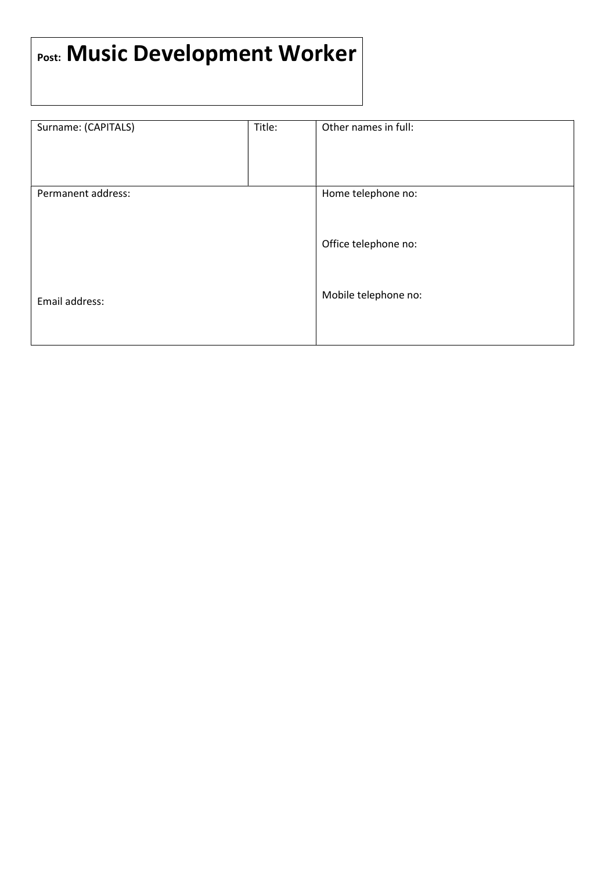## Post: Music Development Worker

| Surname: (CAPITALS) | Title: | Other names in full: |
|---------------------|--------|----------------------|
|                     |        |                      |
|                     |        |                      |
|                     |        |                      |
|                     |        |                      |
|                     |        |                      |
|                     |        |                      |
| Permanent address:  |        | Home telephone no:   |
|                     |        |                      |
|                     |        |                      |
|                     |        |                      |
|                     |        |                      |
|                     |        | Office telephone no: |
|                     |        |                      |
|                     |        |                      |
|                     |        |                      |
|                     |        |                      |
|                     |        |                      |
| Email address:      |        | Mobile telephone no: |
|                     |        |                      |
|                     |        |                      |
|                     |        |                      |
|                     |        |                      |
|                     |        |                      |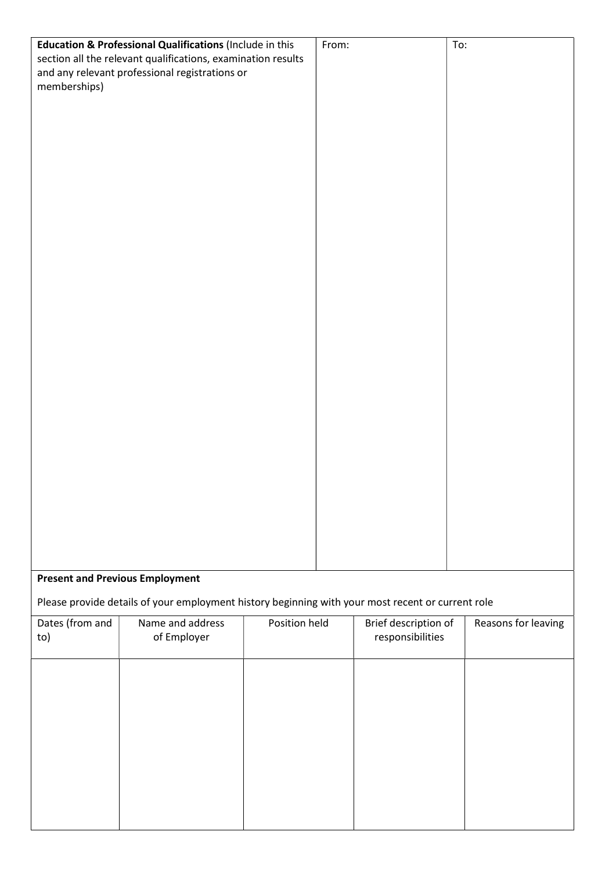| Education & Professional Qualifications (Include in this     |                                                                                                   | From:         |  | To:                  |                     |
|--------------------------------------------------------------|---------------------------------------------------------------------------------------------------|---------------|--|----------------------|---------------------|
| section all the relevant qualifications, examination results |                                                                                                   |               |  |                      |                     |
| and any relevant professional registrations or               |                                                                                                   |               |  |                      |                     |
| memberships)                                                 |                                                                                                   |               |  |                      |                     |
|                                                              |                                                                                                   |               |  |                      |                     |
|                                                              |                                                                                                   |               |  |                      |                     |
|                                                              |                                                                                                   |               |  |                      |                     |
|                                                              |                                                                                                   |               |  |                      |                     |
|                                                              |                                                                                                   |               |  |                      |                     |
|                                                              |                                                                                                   |               |  |                      |                     |
|                                                              |                                                                                                   |               |  |                      |                     |
|                                                              |                                                                                                   |               |  |                      |                     |
|                                                              |                                                                                                   |               |  |                      |                     |
|                                                              |                                                                                                   |               |  |                      |                     |
|                                                              |                                                                                                   |               |  |                      |                     |
|                                                              |                                                                                                   |               |  |                      |                     |
|                                                              |                                                                                                   |               |  |                      |                     |
|                                                              |                                                                                                   |               |  |                      |                     |
|                                                              |                                                                                                   |               |  |                      |                     |
|                                                              |                                                                                                   |               |  |                      |                     |
|                                                              |                                                                                                   |               |  |                      |                     |
|                                                              |                                                                                                   |               |  |                      |                     |
|                                                              |                                                                                                   |               |  |                      |                     |
|                                                              |                                                                                                   |               |  |                      |                     |
|                                                              |                                                                                                   |               |  |                      |                     |
|                                                              |                                                                                                   |               |  |                      |                     |
|                                                              |                                                                                                   |               |  |                      |                     |
|                                                              |                                                                                                   |               |  |                      |                     |
|                                                              |                                                                                                   |               |  |                      |                     |
|                                                              |                                                                                                   |               |  |                      |                     |
|                                                              |                                                                                                   |               |  |                      |                     |
|                                                              |                                                                                                   |               |  |                      |                     |
|                                                              |                                                                                                   |               |  |                      |                     |
|                                                              |                                                                                                   |               |  |                      |                     |
| <b>Present and Previous Employment</b>                       |                                                                                                   |               |  |                      |                     |
|                                                              |                                                                                                   |               |  |                      |                     |
|                                                              | Please provide details of your employment history beginning with your most recent or current role |               |  |                      |                     |
| Dates (from and                                              | Name and address                                                                                  | Position held |  | Brief description of | Reasons for leaving |
| to)                                                          | of Employer                                                                                       |               |  | responsibilities     |                     |
|                                                              |                                                                                                   |               |  |                      |                     |
|                                                              |                                                                                                   |               |  |                      |                     |
|                                                              |                                                                                                   |               |  |                      |                     |
|                                                              |                                                                                                   |               |  |                      |                     |
|                                                              |                                                                                                   |               |  |                      |                     |
|                                                              |                                                                                                   |               |  |                      |                     |
|                                                              |                                                                                                   |               |  |                      |                     |
|                                                              |                                                                                                   |               |  |                      |                     |
|                                                              |                                                                                                   |               |  |                      |                     |
|                                                              |                                                                                                   |               |  |                      |                     |
|                                                              |                                                                                                   |               |  |                      |                     |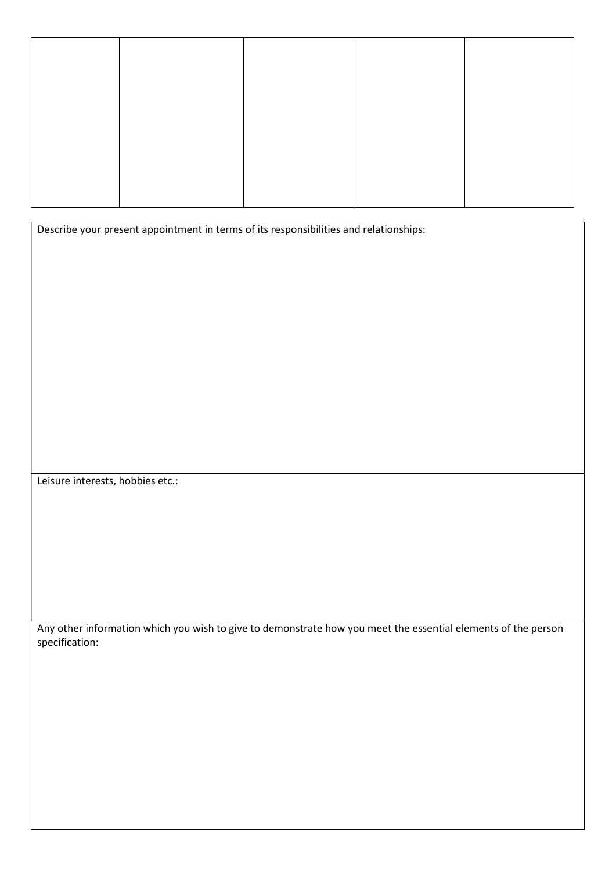Describe your present appointment in terms of its responsibilities and relationships:

Leisure interests, hobbies etc.:

Any other information which you wish to give to demonstrate how you meet the essential elements of the person specification: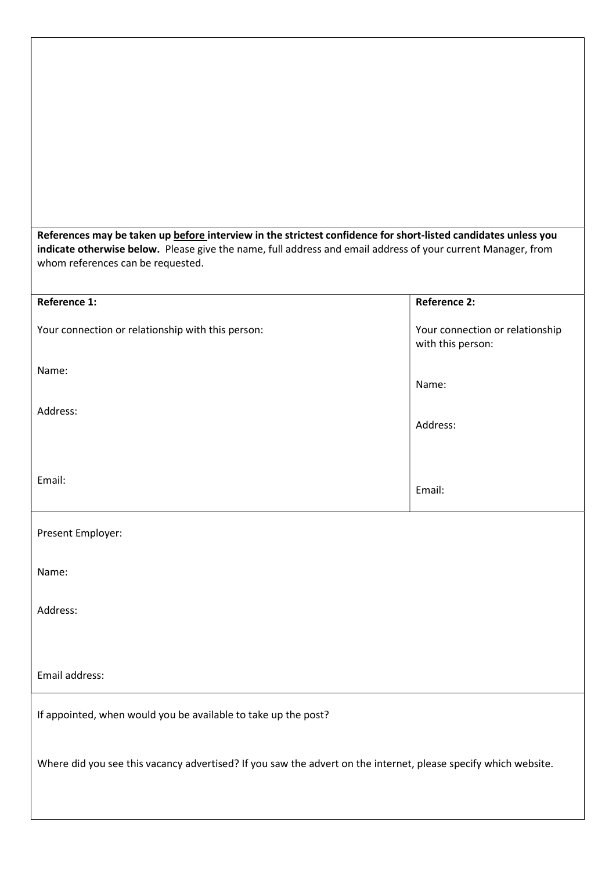| References may be taken up before interview in the strictest confidence for short-listed candidates unless you<br>indicate otherwise below. Please give the name, full address and email address of your current Manager, from<br>whom references can be requested. |                                                      |
|---------------------------------------------------------------------------------------------------------------------------------------------------------------------------------------------------------------------------------------------------------------------|------------------------------------------------------|
| <b>Reference 1:</b>                                                                                                                                                                                                                                                 | <b>Reference 2:</b>                                  |
| Your connection or relationship with this person:                                                                                                                                                                                                                   | Your connection or relationship<br>with this person: |
| Name:                                                                                                                                                                                                                                                               | Name:                                                |
| Address:                                                                                                                                                                                                                                                            | Address:                                             |
| Email:                                                                                                                                                                                                                                                              | Email:                                               |
| Present Employer:                                                                                                                                                                                                                                                   |                                                      |
| Name:                                                                                                                                                                                                                                                               |                                                      |
| Address:                                                                                                                                                                                                                                                            |                                                      |
|                                                                                                                                                                                                                                                                     |                                                      |
| Email address:                                                                                                                                                                                                                                                      |                                                      |
| If appointed, when would you be available to take up the post?                                                                                                                                                                                                      |                                                      |
| Where did you see this vacancy advertised? If you saw the advert on the internet, please specify which website.                                                                                                                                                     |                                                      |